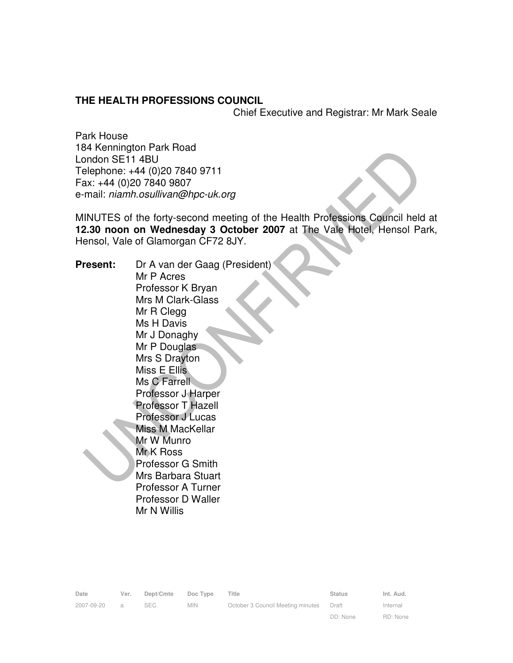#### **THE HEALTH PROFESSIONS COUNCIL**

Chief Executive and Registrar: Mr Mark Seale

Park House 184 Kennington Park Road London SE11 4BU Telephone: +44 (0)20 7840 9711 Fax: +44 (0)20 7840 9807 e-mail: niamh.osullivan@hpc-uk.org

MINUTES of the forty-second meeting of the Health Professions Council held at **12.30 noon on Wednesday 3 October 2007** at The Vale Hotel, Hensol Park, Hensol, Vale of Glamorgan CF72 8JY.

**Present:** Dr A van der Gaag (President) Mr P Acres Professor K Bryan Mrs M Clark-Glass Mr R Clegg Ms H Davis Mr J Donaghy Mr P Douglas Mrs S Drayton Miss E Ellis Ms C Farrell Professor J Harper Professor T Hazell Professor J Lucas Miss M MacKellar Mr W Munro Mr K Ross Professor G Smith Mrs Barbara Stuart Professor A Turner Professor D Waller Mr N Willis

| Date       | Ver.           | Dept/Cmte  | Doc Type   | Title                             | <b>Status</b> | Int. Aud. |
|------------|----------------|------------|------------|-----------------------------------|---------------|-----------|
| 2007-09-20 | $\overline{a}$ | <b>SEC</b> | <b>MIN</b> | October 3 Council Meeting minutes | Draft         | Internal  |
|            |                |            |            |                                   | DD: None      | RD: None  |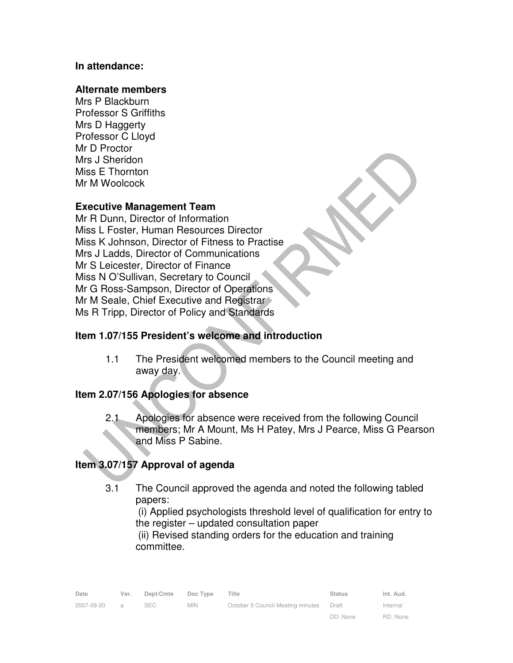### **In attendance:**

#### **Alternate members**

Mrs P Blackburn Professor S Griffiths Mrs D Haggerty Professor C Lloyd Mr D Proctor Mrs J Sheridon Miss E Thornton Mr M Woolcock

## **Executive Management Team**

Mr R Dunn, Director of Information Miss L Foster, Human Resources Director Miss K Johnson, Director of Fitness to Practise Mrs J Ladds, Director of Communications Mr S Leicester, Director of Finance Miss N O'Sullivan, Secretary to Council Mr G Ross-Sampson, Director of Operations Mr M Seale, Chief Executive and Registrar Ms R Tripp, Director of Policy and Standards

### **Item 1.07/155 President's welcome and introduction**

1.1 The President welcomed members to the Council meeting and away day.

### **Item 2.07/156 Apologies for absence**

2.1 Apologies for absence were received from the following Council members; Mr A Mount, Ms H Patey, Mrs J Pearce, Miss G Pearson and Miss P Sabine.

# **Item 3.07/157 Approval of agenda**

3.1 The Council approved the agenda and noted the following tabled papers:

(i) Applied psychologists threshold level of qualification for entry to the register – updated consultation paper

(ii) Revised standing orders for the education and training committee.

| Date       | Ver.           | Dept/Cmte  | Doc Type   | Title                             | <b>Status</b> | Int. Aud. |
|------------|----------------|------------|------------|-----------------------------------|---------------|-----------|
| 2007-09-20 | $\overline{a}$ | <b>SEC</b> | <b>MIN</b> | October 3 Council Meeting minutes | Draft         | Internal  |
|            |                |            |            |                                   | DD: None      | RD: None  |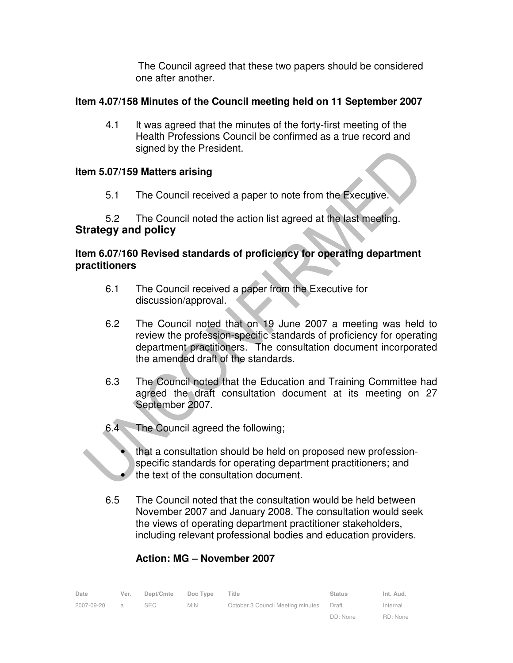The Council agreed that these two papers should be considered one after another.

# **Item 4.07/158 Minutes of the Council meeting held on 11 September 2007**

4.1 It was agreed that the minutes of the forty-first meeting of the Health Professions Council be confirmed as a true record and signed by the President.

## **Item 5.07/159 Matters arising**

5.1 The Council received a paper to note from the Executive.

# 5.2 The Council noted the action list agreed at the last meeting. **Strategy and policy**

## **Item 6.07/160 Revised standards of proficiency for operating department practitioners**

- 6.1 The Council received a paper from the Executive for discussion/approval.
- 6.2 The Council noted that on 19 June 2007 a meeting was held to review the profession-specific standards of proficiency for operating department practitioners. The consultation document incorporated the amended draft of the standards.
- 6.3 The Council noted that the Education and Training Committee had agreed the draft consultation document at its meeting on 27 September 2007.
- 6.4 The Council agreed the following;
	- that a consultation should be held on proposed new professionspecific standards for operating department practitioners; and • the text of the consultation document.
- 6.5 The Council noted that the consultation would be held between November 2007 and January 2008. The consultation would seek the views of operating department practitioner stakeholders, including relevant professional bodies and education providers.

# **Action: MG – November 2007**

| Date       | Ver.           | Dept/Cmte | Doc Type   | Title                             | <b>Status</b> | Int. Aud. |
|------------|----------------|-----------|------------|-----------------------------------|---------------|-----------|
| 2007-09-20 | $\overline{a}$ | SEC       | <b>MIN</b> | October 3 Council Meeting minutes | Draft         | Internal  |
|            |                |           |            |                                   | DD: None      | RD: None  |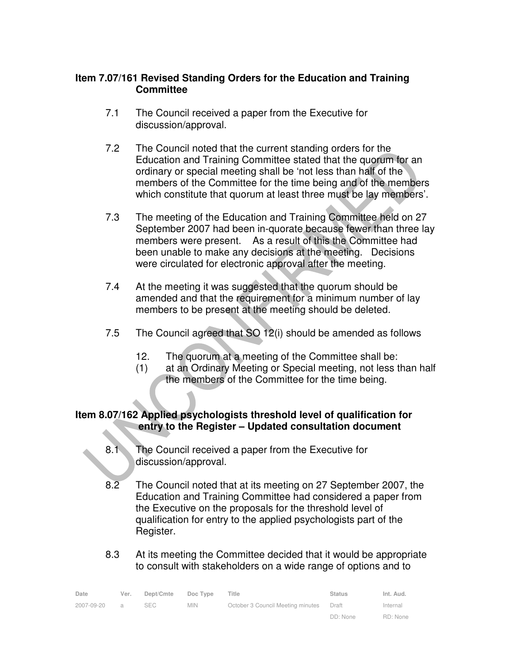## **Item 7.07/161 Revised Standing Orders for the Education and Training Committee**

- 7.1 The Council received a paper from the Executive for discussion/approval.
- 7.2 The Council noted that the current standing orders for the Education and Training Committee stated that the quorum for an ordinary or special meeting shall be 'not less than half of the members of the Committee for the time being and of the members which constitute that quorum at least three must be lay members'.
- 7.3 The meeting of the Education and Training Committee held on 27 September 2007 had been in-quorate because fewer than three lay members were present. As a result of this the Committee had been unable to make any decisions at the meeting. Decisions were circulated for electronic approval after the meeting.
- 7.4 At the meeting it was suggested that the quorum should be amended and that the requirement for a minimum number of lay members to be present at the meeting should be deleted.
- 7.5 The Council agreed that SO 12(i) should be amended as follows
	- 12. The quorum at a meeting of the Committee shall be:
	- (1) at an Ordinary Meeting or Special meeting, not less than half the members of the Committee for the time being.

# **Item 8.07/162 Applied psychologists threshold level of qualification for entry to the Register – Updated consultation document**

- 8.1 The Council received a paper from the Executive for discussion/approval.
- 8.2 The Council noted that at its meeting on 27 September 2007, the Education and Training Committee had considered a paper from the Executive on the proposals for the threshold level of qualification for entry to the applied psychologists part of the Register.
- 8.3 At its meeting the Committee decided that it would be appropriate to consult with stakeholders on a wide range of options and to

| Date       | Ver.           | Dept/Cmte  | Doc Type | Title                             | <b>Status</b> | Int. Aud. |
|------------|----------------|------------|----------|-----------------------------------|---------------|-----------|
| 2007-09-20 | $\overline{a}$ | <b>SEC</b> | MIN.     | October 3 Council Meeting minutes | Draft         | Internal  |
|            |                |            |          |                                   | DD: None      | RD: None  |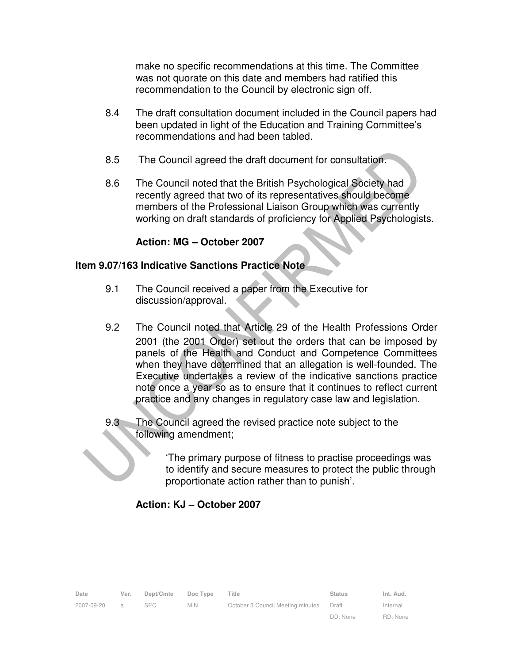make no specific recommendations at this time. The Committee was not quorate on this date and members had ratified this recommendation to the Council by electronic sign off.

- 8.4 The draft consultation document included in the Council papers had been updated in light of the Education and Training Committee's recommendations and had been tabled.
- 8.5 The Council agreed the draft document for consultation.
- 8.6 The Council noted that the British Psychological Society had recently agreed that two of its representatives should become members of the Professional Liaison Group which was currently working on draft standards of proficiency for Applied Psychologists.

## **Action: MG – October 2007**

### **Item 9.07/163 Indicative Sanctions Practice Note**

- 9.1 The Council received a paper from the Executive for discussion/approval.
- 9.2 The Council noted that Article 29 of the Health Professions Order 2001 (the 2001 Order) set out the orders that can be imposed by panels of the Health and Conduct and Competence Committees when they have determined that an allegation is well-founded. The Executive undertakes a review of the indicative sanctions practice note once a year so as to ensure that it continues to reflect current practice and any changes in regulatory case law and legislation.
- 9.3 The Council agreed the revised practice note subject to the following amendment;
	- 'The primary purpose of fitness to practise proceedings was to identify and secure measures to protect the public through proportionate action rather than to punish'.

# **Action: KJ – October 2007**

| Date       | Ver.           | Dept/Cmte | Doc Type   | Title                             | <b>Status</b> | Int. Aud. |
|------------|----------------|-----------|------------|-----------------------------------|---------------|-----------|
| 2007-09-20 | $\overline{a}$ | SEC       | <b>MIN</b> | October 3 Council Meeting minutes | Draft         | Internal  |
|            |                |           |            |                                   | DD: None      | RD: None  |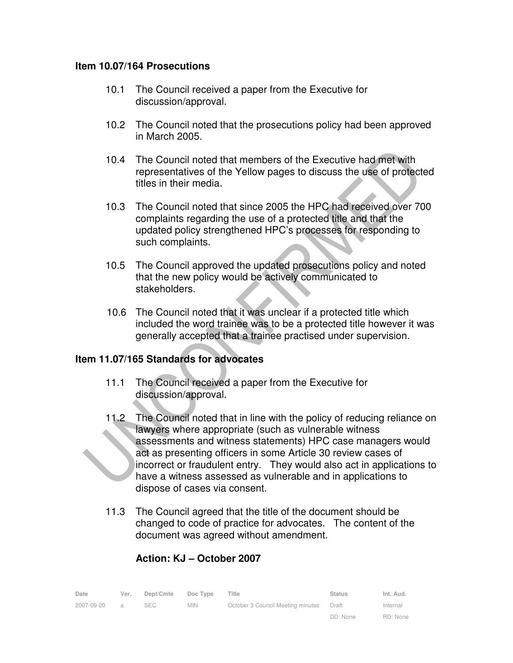#### **Item 10.07/164 Prosecutions**

- 10.1 The Council received a paper from the Executive for discussion/approval.
- 10.2 The Council noted that the prosecutions policy had been approved in March 2005.
- 10.4 The Council noted that members of the Executive had met with representatives of the Yellow pages to discuss the use of protected titles in their media.
- 10.3 The Council noted that since 2005 the HPC had received over 700 complaints regarding the use of a protected title and that the updated policy strengthened HPC's processes for responding to such complaints.
- 10.5 The Council approved the updated prosecutions policy and noted that the new policy would be actively communicated to stakeholders.
- 10.6 The Council noted that it was unclear if a protected title which included the word trainee was to be a protected title however it was generally accepted that a trainee practised under supervision.

### **Item 11.07/165 Standards for advocates**

- 11.1 The Council received a paper from the Executive for discussion/approval.
- 11.2 The Council noted that in line with the policy of reducing reliance on lawyers where appropriate (such as vulnerable witness assessments and witness statements) HPC case managers would act as presenting officers in some Article 30 review cases of incorrect or fraudulent entry. They would also act in applications to have a witness assessed as vulnerable and in applications to dispose of cases via consent.
- 11.3 The Council agreed that the title of the document should be changed to code of practice for advocates. The content of the document was agreed without amendment.

| Date       | Ver.           | Dept/Cmte  | Doc Type   | Title                             | <b>Status</b> | Int. Aud. |
|------------|----------------|------------|------------|-----------------------------------|---------------|-----------|
| 2007-09-20 | $\overline{a}$ | <b>SEC</b> | <b>MIN</b> | October 3 Council Meeting minutes | Draft         | Internal  |
|            |                |            |            |                                   | DD: None      | RD: None  |

# **Action: KJ – October 2007**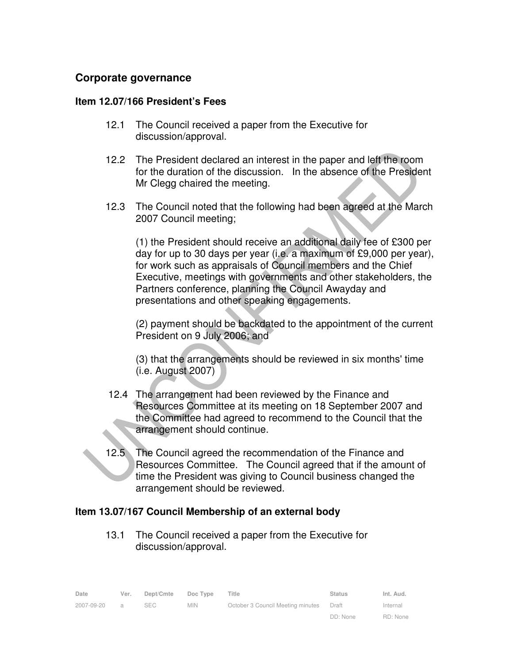# **Corporate governance**

#### **Item 12.07/166 President's Fees**

- 12.1 The Council received a paper from the Executive for discussion/approval.
- 12.2 The President declared an interest in the paper and left the room for the duration of the discussion. In the absence of the President Mr Clegg chaired the meeting.
- 12.3 The Council noted that the following had been agreed at the March 2007 Council meeting;

 (1) the President should receive an additional daily fee of £300 per day for up to 30 days per year (i.e. a maximum of £9,000 per year), for work such as appraisals of Council members and the Chief Executive, meetings with governments and other stakeholders, the Partners conference, planning the Council Awayday and presentations and other speaking engagements.

 (2) payment should be backdated to the appointment of the current President on 9 July 2006; and

 (3) that the arrangements should be reviewed in six months' time (i.e. August 2007)

- 12.4 The arrangement had been reviewed by the Finance and Resources Committee at its meeting on 18 September 2007 and the Committee had agreed to recommend to the Council that the arrangement should continue.
- Ĭ 12.5 The Council agreed the recommendation of the Finance and Resources Committee. The Council agreed that if the amount of time the President was giving to Council business changed the arrangement should be reviewed.

### **Item 13.07/167 Council Membership of an external body**

13.1 The Council received a paper from the Executive for discussion/approval.

| Date       | Ver.           | Dept/Cmte | Doc Type   | Title                             | <b>Status</b> | Int. Aud. |
|------------|----------------|-----------|------------|-----------------------------------|---------------|-----------|
| 2007-09-20 | $\overline{a}$ | SEC.      | <b>MIN</b> | October 3 Council Meeting minutes | Draft         | Internal  |
|            |                |           |            |                                   | DD: None      | RD: None  |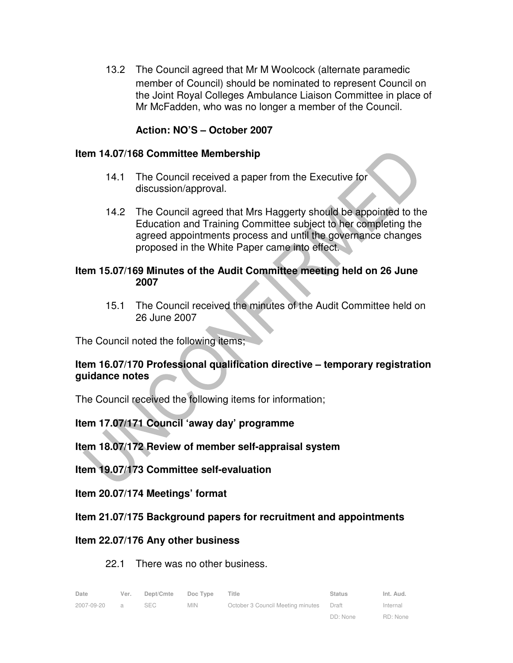13.2 The Council agreed that Mr M Woolcock (alternate paramedic member of Council) should be nominated to represent Council on the Joint Royal Colleges Ambulance Liaison Committee in place of Mr McFadden, who was no longer a member of the Council.

## **Action: NO'S – October 2007**

#### **Item 14.07/168 Committee Membership**

- 14.1 The Council received a paper from the Executive for discussion/approval.
- 14.2 The Council agreed that Mrs Haggerty should be appointed to the Education and Training Committee subject to her completing the agreed appointments process and until the governance changes proposed in the White Paper came into effect.

#### **Item 15.07/169 Minutes of the Audit Committee meeting held on 26 June 2007**

15.1 The Council received the minutes of the Audit Committee held on 26 June 2007

The Council noted the following items;

## **Item 16.07/170 Professional qualification directive – temporary registration guidance notes**

The Council received the following items for information;

**Item 17.07/171 Council 'away day' programme** 

### **Item 18.07/172 Review of member self-appraisal system**

**Item 19.07/173 Committee self-evaluation** 

**Item 20.07/174 Meetings' format** 

### **Item 21.07/175 Background papers for recruitment and appointments**

### **Item 22.07/176 Any other business**

#### 22.1 There was no other business.

| Date       | Ver.           | Dept/Cmte | Doc Type | Title                                    | <b>Status</b> | Int. Aud. |
|------------|----------------|-----------|----------|------------------------------------------|---------------|-----------|
| 2007-09-20 | $\overline{a}$ | SEC.      | MIN.     | October 3 Council Meeting minutes  Draft |               | Internal  |
|            |                |           |          |                                          | DD: None      | RD: None  |